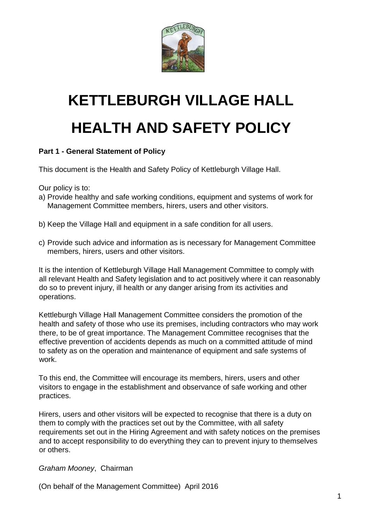

# **KETTLEBURGH VILLAGE HALL HEALTH AND SAFETY POLICY**

# **Part 1 - General Statement of Policy**

This document is the Health and Safety Policy of Kettleburgh Village Hall.

Our policy is to:

- a) Provide healthy and safe working conditions, equipment and systems of work for Management Committee members, hirers, users and other visitors.
- b) Keep the Village Hall and equipment in a safe condition for all users.
- c) Provide such advice and information as is necessary for Management Committee members, hirers, users and other visitors.

It is the intention of Kettleburgh Village Hall Management Committee to comply with all relevant Health and Safety legislation and to act positively where it can reasonably do so to prevent injury, ill health or any danger arising from its activities and operations.

Kettleburgh Village Hall Management Committee considers the promotion of the health and safety of those who use its premises, including contractors who may work there, to be of great importance. The Management Committee recognises that the effective prevention of accidents depends as much on a committed attitude of mind to safety as on the operation and maintenance of equipment and safe systems of work.

To this end, the Committee will encourage its members, hirers, users and other visitors to engage in the establishment and observance of safe working and other practices.

Hirers, users and other visitors will be expected to recognise that there is a duty on them to comply with the practices set out by the Committee, with all safety requirements set out in the Hiring Agreement and with safety notices on the premises and to accept responsibility to do everything they can to prevent injury to themselves or others.

*Graham Mooney*, Chairman

(On behalf of the Management Committee) April 2016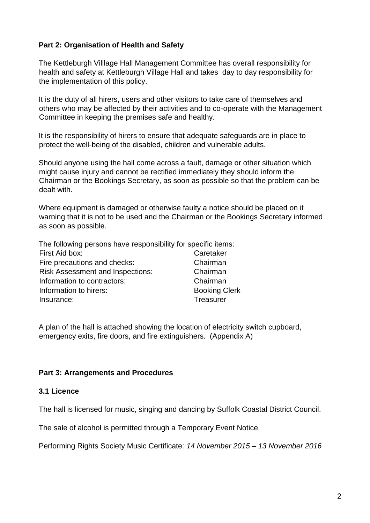## **Part 2: Organisation of Health and Safety**

The Kettleburgh Villlage Hall Management Committee has overall responsibility for health and safety at Kettleburgh Village Hall and takes day to day responsibility for the implementation of this policy.

It is the duty of all hirers, users and other visitors to take care of themselves and others who may be affected by their activities and to co-operate with the Management Committee in keeping the premises safe and healthy.

It is the responsibility of hirers to ensure that adequate safeguards are in place to protect the well-being of the disabled, children and vulnerable adults.

Should anyone using the hall come across a fault, damage or other situation which might cause injury and cannot be rectified immediately they should inform the Chairman or the Bookings Secretary, as soon as possible so that the problem can be dealt with.

Where equipment is damaged or otherwise faulty a notice should be placed on it warning that it is not to be used and the Chairman or the Bookings Secretary informed as soon as possible.

The following persons have responsibility for specific items:

| First Aid box:                          | Caretaker            |
|-----------------------------------------|----------------------|
| Fire precautions and checks:            | Chairman             |
| <b>Risk Assessment and Inspections:</b> | Chairman             |
| Information to contractors:             | Chairman             |
| Information to hirers:                  | <b>Booking Clerk</b> |
| Insurance:                              | Treasurer            |

A plan of the hall is attached showing the location of electricity switch cupboard, emergency exits, fire doors, and fire extinguishers. (Appendix A)

#### **Part 3: Arrangements and Procedures**

#### **3.1 Licence**

The hall is licensed for music, singing and dancing by Suffolk Coastal District Council.

The sale of alcohol is permitted through a Temporary Event Notice.

Performing Rights Society Music Certificate: *14 November 2015 – 13 November 2016*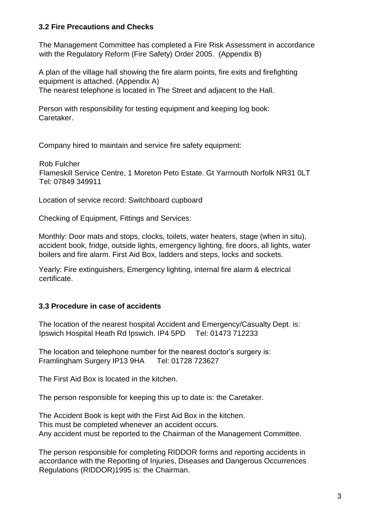#### **3.2 Fire Precautions and Checks**

The Management Committee has completed a Fire Risk Assessment in accordance with the Regulatory Reform (Fire Safety) Order 2005. (Appendix B)

A plan of the village hall showing the fire alarm points, fire exits and firefighting equipment is attached. (Appendix A) The nearest telephone is located in The Street and adjacent to the Hall.

Person with responsibility for testing equipment and keeping log book: Caretaker.

Company hired to maintain and service fire safety equipment:

Rob Fulcher Flameskill Service Centre, 1 Moreton Peto Estate. Gt Yarmouth Norfolk NR31 0LT Tel: 07849 349911

Location of service record: Switchboard cupboard

Checking of Equipment, Fittings and Services:

Monthly: Door mats and stops, clocks, toilets, water heaters, stage (when in situ), accident book, fridge, outside lights, emergency lighting, fire doors, all lights, water boilers and fire alarm. First Aid Box, ladders and steps, locks and sockets.

Yearly: Fire extinguishers, Emergency lighting, internal fire alarm & electrical certificate.

## **3.3 Procedure in case of accidents**

The location of the nearest hospital Accident and Emergency/Casualty Dept. is: Ipswich Hospital Heath Rd Ipswich. IP4 5PD Tel: 01473 712233

The location and telephone number for the nearest doctor's surgery is: Framlingham Surgery IP13 9HA Tel: 01728 723627

The First Aid Box is located in the kitchen.

The person responsible for keeping this up to date is: the Caretaker.

The Accident Book is kept with the First Aid Box in the kitchen. This must be completed whenever an accident occurs. Any accident must be reported to the Chairman of the Management Committee.

The person responsible for completing RIDDOR forms and reporting accidents in accordance with the Reporting of Injuries, Diseases and Dangerous Occurrences Regulations (RIDDOR)1995 is: the Chairman.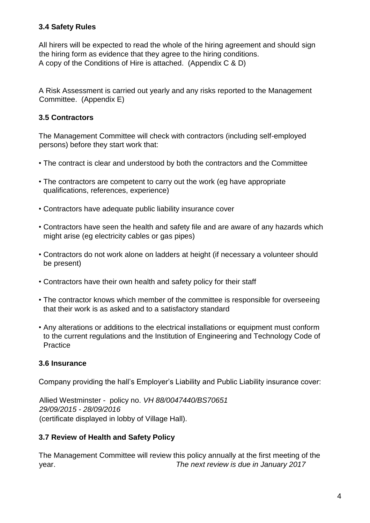# **3.4 Safety Rules**

All hirers will be expected to read the whole of the hiring agreement and should sign the hiring form as evidence that they agree to the hiring conditions. A copy of the Conditions of Hire is attached. (Appendix C & D)

A Risk Assessment is carried out yearly and any risks reported to the Management Committee. (Appendix E)

# **3.5 Contractors**

The Management Committee will check with contractors (including self-employed persons) before they start work that:

- The contract is clear and understood by both the contractors and the Committee
- The contractors are competent to carry out the work (eg have appropriate qualifications, references, experience)
- Contractors have adequate public liability insurance cover
- Contractors have seen the health and safety file and are aware of any hazards which might arise (eg electricity cables or gas pipes)
- Contractors do not work alone on ladders at height (if necessary a volunteer should be present)
- Contractors have their own health and safety policy for their staff
- The contractor knows which member of the committee is responsible for overseeing that their work is as asked and to a satisfactory standard
- Any alterations or additions to the electrical installations or equipment must conform to the current regulations and the Institution of Engineering and Technology Code of **Practice**

## **3.6 Insurance**

Company providing the hall's Employer's Liability and Public Liability insurance cover:

Allied Westminster - policy no. *VH 88/0047440/BS70651 29/09/2015 - 28/09/2016*  (certificate displayed in lobby of Village Hall).

## **3.7 Review of Health and Safety Policy**

The Management Committee will review this policy annually at the first meeting of the year. *The next review is due in January 2017*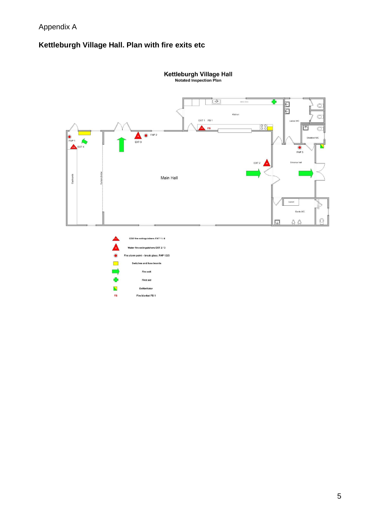# **Kettleburgh Village Hall. Plan with fire exits etc**



Kettleburgh Village Hall<br>Notated Inspection Plan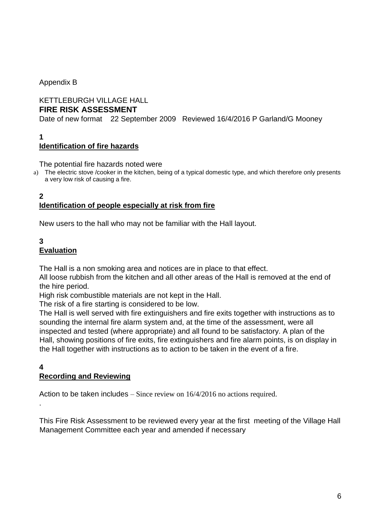Appendix B

# KETTLEBURGH VILLAGE HALL

# **FIRE RISK ASSESSMENT**

Date of new format 22 September 2009 Reviewed 16/4/2016 P Garland/G Mooney

**1**

# **Identification of fire hazards**

#### The potential fire hazards noted were

a) The electric stove /cooker in the kitchen, being of a typical domestic type, and which therefore only presents a very low risk of causing a fire.

#### **2 Identification of people especially at risk from fire**

New users to the hall who may not be familiar with the Hall layout.

#### **3 Evaluation**

The Hall is a non smoking area and notices are in place to that effect.

All loose rubbish from the kitchen and all other areas of the Hall is removed at the end of the hire period.

High risk combustible materials are not kept in the Hall.

The risk of a fire starting is considered to be low.

The Hall is well served with fire extinguishers and fire exits together with instructions as to sounding the internal fire alarm system and, at the time of the assessment, were all inspected and tested (where appropriate) and all found to be satisfactory. A plan of the Hall, showing positions of fire exits, fire extinguishers and fire alarm points, is on display in the Hall together with instructions as to action to be taken in the event of a fire.

#### **4 Recording and Reviewing**

.

Action to be taken includes – Since review on 16/4/2016 no actions required.

This Fire Risk Assessment to be reviewed every year at the first meeting of the Village Hall Management Committee each year and amended if necessary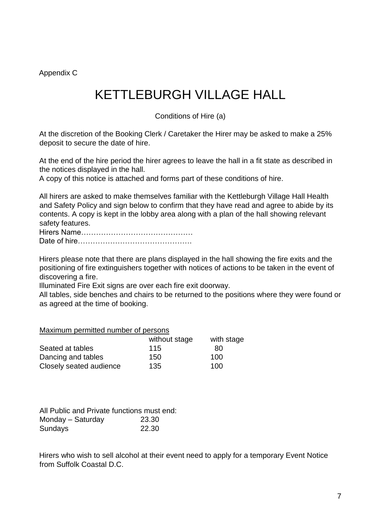Appendix C

# KETTLEBURGH VILLAGE HALL

Conditions of Hire (a)

At the discretion of the Booking Clerk / Caretaker the Hirer may be asked to make a 25% deposit to secure the date of hire.

At the end of the hire period the hirer agrees to leave the hall in a fit state as described in the notices displayed in the hall.

A copy of this notice is attached and forms part of these conditions of hire.

All hirers are asked to make themselves familiar with the Kettleburgh Village Hall Health and Safety Policy and sign below to confirm that they have read and agree to abide by its contents. A copy is kept in the lobby area along with a plan of the hall showing relevant safety features.

Hirers Name……………………………………… Date of hire……………………………………….

Hirers please note that there are plans displayed in the hall showing the fire exits and the positioning of fire extinguishers together with notices of actions to be taken in the event of discovering a fire.

Illuminated Fire Exit signs are over each fire exit doorway.

All tables, side benches and chairs to be returned to the positions where they were found or as agreed at the time of booking.

Maximum permitted number of persons

|                         | without stage | with stage |
|-------------------------|---------------|------------|
| Seated at tables        | 115           | 80         |
| Dancing and tables      | 150           | 100        |
| Closely seated audience | 135           | 100        |

All Public and Private functions must end: Monday – Saturday 23.30 Sundays 22.30

Hirers who wish to sell alcohol at their event need to apply for a temporary Event Notice from Suffolk Coastal D.C.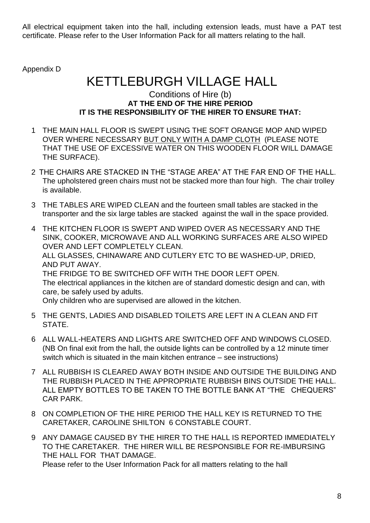All electrical equipment taken into the hall, including extension leads, must have a PAT test certificate. Please refer to the User Information Pack for all matters relating to the hall.

Appendix D

# KETTLEBURGH VILLAGE HALL

## Conditions of Hire (b) **AT THE END OF THE HIRE PERIOD IT IS THE RESPONSIBILITY OF THE HIRER TO ENSURE THAT:**

- 1 THE MAIN HALL FLOOR IS SWEPT USING THE SOFT ORANGE MOP AND WIPED OVER WHERE NECESSARY BUT ONLY WITH A DAMP CLOTH (PLEASE NOTE THAT THE USE OF EXCESSIVE WATER ON THIS WOODEN FLOOR WILL DAMAGE THE SURFACE).
- 2 THE CHAIRS ARE STACKED IN THE "STAGE AREA" AT THE FAR END OF THE HALL. The upholstered green chairs must not be stacked more than four high. The chair trolley is available.
- 3 THE TABLES ARE WIPED CLEAN and the fourteen small tables are stacked in the transporter and the six large tables are stacked against the wall in the space provided.
- 4 THE KITCHEN FLOOR IS SWEPT AND WIPED OVER AS NECESSARY AND THE SINK, COOKER, MICROWAVE AND ALL WORKING SURFACES ARE ALSO WIPED OVER AND LEFT COMPLETELY CLEAN. ALL GLASSES, CHINAWARE AND CUTLERY ETC TO BE WASHED-UP, DRIED, AND PUT AWAY. THE FRIDGE TO BE SWITCHED OFF WITH THE DOOR LEFT OPEN. The electrical appliances in the kitchen are of standard domestic design and can, with care, be safely used by adults. Only children who are supervised are allowed in the kitchen.
- 5 THE GENTS, LADIES AND DISABLED TOILETS ARE LEFT IN A CLEAN AND FIT STATE.
- 6 ALL WALL-HEATERS AND LIGHTS ARE SWITCHED OFF AND WINDOWS CLOSED. (NB On final exit from the hall, the outside lights can be controlled by a 12 minute timer switch which is situated in the main kitchen entrance – see instructions)
- 7 ALL RUBBISH IS CLEARED AWAY BOTH INSIDE AND OUTSIDE THE BUILDING AND THE RUBBISH PLACED IN THE APPROPRIATE RUBBISH BINS OUTSIDE THE HALL. ALL EMPTY BOTTLES TO BE TAKEN TO THE BOTTLE BANK AT "THE CHEQUERS" CAR PARK.
- 8 ON COMPLETION OF THE HIRE PERIOD THE HALL KEY IS RETURNED TO THE CARETAKER, CAROLINE SHILTON 6 CONSTABLE COURT.
- 9 ANY DAMAGE CAUSED BY THE HIRER TO THE HALL IS REPORTED IMMEDIATELY TO THE CARETAKER. THE HIRER WILL BE RESPONSIBLE FOR RE-IMBURSING THE HALL FOR THAT DAMAGE. Please refer to the User Information Pack for all matters relating to the hall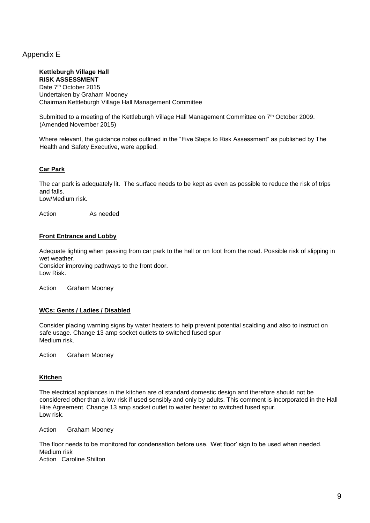#### Appendix E

#### **Kettleburgh Village Hall RISK ASSESSMENT**

Date 7<sup>th</sup> October 2015 Undertaken by Graham Mooney Chairman Kettleburgh Village Hall Management Committee

Submitted to a meeting of the Kettleburgh Village Hall Management Committee on 7<sup>th</sup> October 2009. (Amended November 2015)

Where relevant, the guidance notes outlined in the "Five Steps to Risk Assessment" as published by The Health and Safety Executive, were applied.

#### **Car Park**

The car park is adequately lit. The surface needs to be kept as even as possible to reduce the risk of trips and falls.

Low/Medium risk.

Action As needed

#### **Front Entrance and Lobby**

Adequate lighting when passing from car park to the hall or on foot from the road. Possible risk of slipping in wet weather.

Consider improving pathways to the front door. Low Risk.

Action Graham Mooney

#### **WCs: Gents / Ladies / Disabled**

Consider placing warning signs by water heaters to help prevent potential scalding and also to instruct on safe usage. Change 13 amp socket outlets to switched fused spur Medium risk.

Action Graham Mooney

#### **Kitchen**

The electrical appliances in the kitchen are of standard domestic design and therefore should not be considered other than a low risk if used sensibly and only by adults. This comment is incorporated in the Hall Hire Agreement. Change 13 amp socket outlet to water heater to switched fused spur. Low risk.

Action Graham Mooney

The floor needs to be monitored for condensation before use. 'Wet floor' sign to be used when needed. Medium risk Action Caroline Shilton